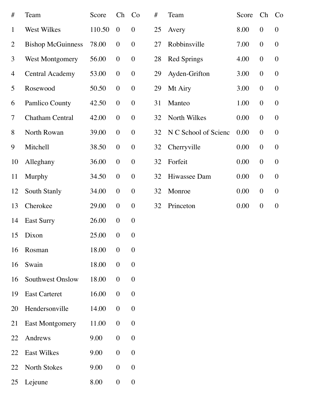| #              | Team                     | Score  | $\mathop{\mathrm{Ch}}$ | Co               | #  | Team                 | Score | Ch               | Co               |
|----------------|--------------------------|--------|------------------------|------------------|----|----------------------|-------|------------------|------------------|
| $\mathbf{1}$   | West Wilkes              | 110.50 | $\overline{0}$         | $\boldsymbol{0}$ | 25 | Avery                | 8.00  | $\boldsymbol{0}$ | $\overline{0}$   |
| $\overline{2}$ | <b>Bishop McGuinness</b> | 78.00  | $\theta$               | $\boldsymbol{0}$ | 27 | Robbinsville         | 7.00  | $\theta$         | $\boldsymbol{0}$ |
| 3              | <b>West Montgomery</b>   | 56.00  | $\overline{0}$         | $\boldsymbol{0}$ | 28 | <b>Red Springs</b>   | 4.00  | $\boldsymbol{0}$ | $\overline{0}$   |
| 4              | <b>Central Academy</b>   | 53.00  | $\overline{0}$         | $\theta$         | 29 | Ayden-Grifton        | 3.00  | $\theta$         | $\boldsymbol{0}$ |
| 5              | Rosewood                 | 50.50  | $\boldsymbol{0}$       | $\boldsymbol{0}$ | 29 | Mt Airy              | 3.00  | $\theta$         | $\theta$         |
| 6              | <b>Pamlico County</b>    | 42.50  | $\boldsymbol{0}$       | $\boldsymbol{0}$ | 31 | Manteo               | 1.00  | $\theta$         | $\boldsymbol{0}$ |
| $\overline{7}$ | <b>Chatham Central</b>   | 42.00  | $\boldsymbol{0}$       | $\boldsymbol{0}$ | 32 | North Wilkes         | 0.00  | $\boldsymbol{0}$ | $\theta$         |
| 8              | North Rowan              | 39.00  | $\boldsymbol{0}$       | $\theta$         | 32 | N C School of Scienc | 0.00  | $\overline{0}$   | $\overline{0}$   |
| 9              | Mitchell                 | 38.50  | $\overline{0}$         | $\boldsymbol{0}$ | 32 | Cherryville          | 0.00  | $\theta$         | $\theta$         |
| 10             | Alleghany                | 36.00  | $\boldsymbol{0}$       | $\boldsymbol{0}$ | 32 | Forfeit              | 0.00  | $\theta$         | $\boldsymbol{0}$ |
| 11             | <b>Murphy</b>            | 34.50  | $\boldsymbol{0}$       | $\boldsymbol{0}$ | 32 | Hiwassee Dam         | 0.00  | $\overline{0}$   | $\theta$         |
| 12             | South Stanly             | 34.00  | $\boldsymbol{0}$       | $\boldsymbol{0}$ | 32 | Monroe               | 0.00  | $\overline{0}$   | $\overline{0}$   |
| 13             | Cherokee                 | 29.00  | $\boldsymbol{0}$       | $\boldsymbol{0}$ | 32 | Princeton            | 0.00  | $\theta$         | $\boldsymbol{0}$ |
| 14             | <b>East Surry</b>        | 26.00  | $\boldsymbol{0}$       | $\boldsymbol{0}$ |    |                      |       |                  |                  |
| 15             | Dixon                    | 25.00  | $\overline{0}$         | $\boldsymbol{0}$ |    |                      |       |                  |                  |
| 16             | Rosman                   | 18.00  | $\overline{0}$         | $\overline{0}$   |    |                      |       |                  |                  |
| 16             | Swain                    | 18.00  | $\overline{0}$         | $\boldsymbol{0}$ |    |                      |       |                  |                  |
| 16             | <b>Southwest Onslow</b>  | 18.00  | $\overline{0}$         | $\boldsymbol{0}$ |    |                      |       |                  |                  |
| 19             | <b>East Carteret</b>     | 16.00  | $\overline{0}$         | $\boldsymbol{0}$ |    |                      |       |                  |                  |
| 20             | Hendersonville           | 14.00  | $\boldsymbol{0}$       | $\overline{0}$   |    |                      |       |                  |                  |
| 21             | <b>East Montgomery</b>   | 11.00  | $\overline{0}$         | $\boldsymbol{0}$ |    |                      |       |                  |                  |
| 22             | Andrews                  | 9.00   | $\overline{0}$         | $\boldsymbol{0}$ |    |                      |       |                  |                  |
| 22             | <b>East Wilkes</b>       | 9.00   | $\overline{0}$         | $\boldsymbol{0}$ |    |                      |       |                  |                  |
| 22             | <b>North Stokes</b>      | 9.00   | $\boldsymbol{0}$       | $\overline{0}$   |    |                      |       |                  |                  |
| 25             | Lejeune                  | 8.00   | $\mathbf{0}$           | $\boldsymbol{0}$ |    |                      |       |                  |                  |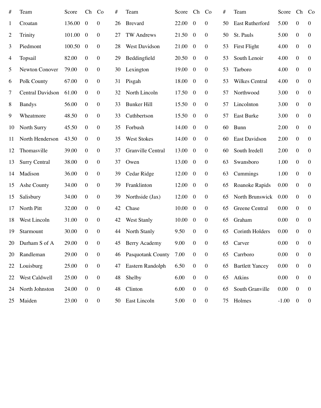| #              | Team                    | Score  | Ch             | Co               | #  | Team                     | Score | Ch               | Co               | #  | Team                   | Score   | Ch             | Co               |
|----------------|-------------------------|--------|----------------|------------------|----|--------------------------|-------|------------------|------------------|----|------------------------|---------|----------------|------------------|
| $\mathbf{1}$   | Croatan                 | 136.00 | $\overline{0}$ | $\mathbf{0}$     | 26 | <b>Brevard</b>           | 22.00 | $\overline{0}$   | $\boldsymbol{0}$ | 50 | <b>East Rutherford</b> | 5.00    | $\overline{0}$ | $\overline{0}$   |
| $\overline{2}$ | Trinity                 | 101.00 | $\overline{0}$ | $\mathbf{0}$     | 27 | <b>TW Andrews</b>        | 21.50 | $\overline{0}$   | $\overline{0}$   | 50 | St. Pauls              | 5.00    | $\overline{0}$ | $\overline{0}$   |
| $\overline{3}$ | Piedmont                | 100.50 | $\overline{0}$ | $\mathbf{0}$     | 28 | <b>West Davidson</b>     | 21.00 | $\overline{0}$   | $\boldsymbol{0}$ | 53 | First Flight           | 4.00    | $\overline{0}$ | $\overline{0}$   |
| 4              | Topsail                 | 82.00  | $\overline{0}$ | $\boldsymbol{0}$ | 29 | Beddingfield             | 20.50 | $\overline{0}$   | $\boldsymbol{0}$ | 53 | South Lenoir           | 4.00    | $\overline{0}$ | $\overline{0}$   |
| 5              | <b>Newton Conover</b>   | 79.00  | $\overline{0}$ | $\overline{0}$   | 30 | Lexington                | 19.00 | $\overline{0}$   | $\boldsymbol{0}$ | 53 | Tarboro                | 4.00    | $\overline{0}$ | $\overline{0}$   |
| 6              | Polk County             | 67.00  | $\overline{0}$ | $\boldsymbol{0}$ | 31 | Pisgah                   | 18.00 | $\overline{0}$   | $\overline{0}$   | 53 | <b>Wilkes Central</b>  | 4.00    | $\overline{0}$ | $\overline{0}$   |
| 7              | <b>Central Davidson</b> | 61.00  | $\overline{0}$ | $\overline{0}$   | 32 | North Lincoln            | 17.50 | $\overline{0}$   | $\overline{0}$   | 57 | Northwood              | 3.00    | $\overline{0}$ | $\overline{0}$   |
| 8              | <b>Bandys</b>           | 56.00  | $\overline{0}$ | $\boldsymbol{0}$ | 33 | <b>Bunker Hill</b>       | 15.50 | $\overline{0}$   | $\overline{0}$   | 57 | Lincolnton             | 3.00    | $\overline{0}$ | $\overline{0}$   |
| 9              | Wheatmore               | 48.50  | $\overline{0}$ | $\boldsymbol{0}$ | 33 | Cuthbertson              | 15.50 | $\overline{0}$   | $\overline{0}$   | 57 | <b>East Burke</b>      | 3.00    | $\overline{0}$ | $\overline{0}$   |
| 10             | <b>North Surry</b>      | 45.50  | $\overline{0}$ | $\mathbf{0}$     | 35 | Forbush                  | 14.00 | $\overline{0}$   | $\overline{0}$   | 60 | Bunn                   | 2.00    | $\overline{0}$ | $\overline{0}$   |
| 11             | North Henderson         | 43.50  | $\overline{0}$ | $\overline{0}$   | 35 | <b>West Stokes</b>       | 14.00 | $\overline{0}$   | $\overline{0}$   | 60 | <b>East Davidson</b>   | 2.00    | $\overline{0}$ | $\overline{0}$   |
| 12             | Thomasville             | 39.00  | $\overline{0}$ | $\boldsymbol{0}$ | 37 | <b>Granville Central</b> | 13.00 | $\overline{0}$   | $\overline{0}$   | 60 | South Iredell          | 2.00    | $\overline{0}$ | $\overline{0}$   |
| 13             | <b>Surry Central</b>    | 38.00  | $\overline{0}$ | $\boldsymbol{0}$ | 37 | Owen                     | 13.00 | $\overline{0}$   | $\boldsymbol{0}$ | 63 | Swansboro              | 1.00    | $\overline{0}$ | $\boldsymbol{0}$ |
| 14             | Madison                 | 36.00  | $\overline{0}$ | $\boldsymbol{0}$ | 39 | Cedar Ridge              | 12.00 | $\overline{0}$   | $\overline{0}$   | 63 | Cummings               | 1.00    | $\mathbf{0}$   | $\overline{0}$   |
| 15             | Ashe County             | 34.00  | $\overline{0}$ | $\boldsymbol{0}$ | 39 | Franklinton              | 12.00 | $\overline{0}$   | $\boldsymbol{0}$ | 65 | Roanoke Rapids         | 0.00    | $\overline{0}$ | $\overline{0}$   |
| 15             | Salisbury               | 34.00  | $\overline{0}$ | $\boldsymbol{0}$ | 39 | Northside (Jax)          | 12.00 | $\boldsymbol{0}$ | $\overline{0}$   | 65 | <b>North Brunswick</b> | 0.00    | $\overline{0}$ | $\overline{0}$   |
| 17             | North Pitt              | 32.00  | $\overline{0}$ | $\mathbf{0}$     | 42 | Chase                    | 10.00 | $\overline{0}$   | $\overline{0}$   | 65 | Greene Central         | 0.00    | $\overline{0}$ | $\boldsymbol{0}$ |
| 18             | West Lincoln            | 31.00  | $\overline{0}$ | $\boldsymbol{0}$ | 42 | <b>West Stanly</b>       | 10.00 | $\overline{0}$   | $\boldsymbol{0}$ | 65 | Graham                 | 0.00    | $\overline{0}$ | $\overline{0}$   |
| 19             | Starmount               | 30.00  | $\overline{0}$ | $\mathbf{0}$     | 44 | <b>North Stanly</b>      | 9.50  | $\mathbf{0}$     | $\boldsymbol{0}$ | 65 | <b>Corinth Holders</b> | 0.00    | $\overline{0}$ | $\overline{0}$   |
| 20             | Durham S of A           | 29.00  | $\overline{0}$ | $\boldsymbol{0}$ | 45 | <b>Berry Academy</b>     | 9.00  | $\boldsymbol{0}$ | $\overline{0}$   | 65 | Carver                 | 0.00    | $\mathbf{0}$   | $\overline{0}$   |
| 20             | Randleman               | 29.00  | $\overline{0}$ | $\overline{0}$   | 46 | <b>Pasquotank County</b> | 7.00  | $\mathbf{0}$     | $\overline{0}$   | 65 | Carrboro               | 0.00    | $\overline{0}$ | $\overline{0}$   |
| 22             | Louisburg               | 25.00  | $\overline{0}$ | $\boldsymbol{0}$ | 47 | Eastern Randolph         | 6.50  | $\boldsymbol{0}$ | $\boldsymbol{0}$ | 65 | <b>Bartlett Yancey</b> | 0.00    | $\mathbf{0}$   | $\overline{0}$   |
| 22             | West Caldwell           | 25.00  | $\overline{0}$ | $\boldsymbol{0}$ | 48 | Shelby                   | 6.00  | $\overline{0}$   | $\boldsymbol{0}$ | 65 | Atkins                 | 0.00    | $\overline{0}$ | $\overline{0}$   |
| 24             | North Johnston          | 24.00  | $\overline{0}$ | $\overline{0}$   | 48 | Clinton                  | 6.00  | $\boldsymbol{0}$ | $\overline{0}$   | 65 | South Granville        | 0.00    | $\mathbf{0}$   | $\overline{0}$   |
| 25             | Maiden                  | 23.00  | $\overline{0}$ | $\mathbf{0}$     | 50 | East Lincoln             | 5.00  | $\mathbf{0}$     | $\overline{0}$   | 75 | Holmes                 | $-1.00$ | $\overline{0}$ | $\overline{0}$   |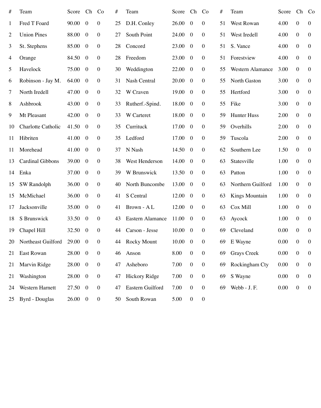| #            | Team                      | Score | Ch               | Co               | #  | Team                    | Score Ch        |                  | Co               | #  | Team                    | Score | Ch               | Co               |
|--------------|---------------------------|-------|------------------|------------------|----|-------------------------|-----------------|------------------|------------------|----|-------------------------|-------|------------------|------------------|
| $\mathbf{1}$ | Fred T Foard              | 90.00 | $\overline{0}$   | $\boldsymbol{0}$ | 25 | D.H. Conley             | 26.00           | $\overline{0}$   | $\overline{0}$   | 51 | <b>West Rowan</b>       | 4.00  | $\overline{0}$   | $\overline{0}$   |
| 2            | <b>Union Pines</b>        | 88.00 | $\overline{0}$   | $\boldsymbol{0}$ | 27 | <b>South Point</b>      | 24.00           | $\overline{0}$   | $\boldsymbol{0}$ | 51 | West Iredell            | 4.00  | $\overline{0}$   | $\overline{0}$   |
| 3            | St. Stephens              | 85.00 | $\boldsymbol{0}$ | $\boldsymbol{0}$ | 28 | Concord                 | 23.00           | $\overline{0}$   | $\boldsymbol{0}$ | 51 | S. Vance                | 4.00  | $\overline{0}$   | $\overline{0}$   |
| 4            | Orange                    | 84.50 | $\boldsymbol{0}$ | $\boldsymbol{0}$ | 28 | Freedom                 | 23.00           | $\overline{0}$   | $\boldsymbol{0}$ | 51 | Forestview              | 4.00  | $\overline{0}$   | $\overline{0}$   |
| 5            | Havelock                  | 75.00 | $\boldsymbol{0}$ | $\boldsymbol{0}$ | 30 | Weddington              | 22.00           | $\overline{0}$   | $\overline{0}$   | 55 | <b>Western Alamance</b> | 3.00  | $\overline{0}$   | $\overline{0}$   |
| 6            | Robinson - Jay M.         | 64.00 | $\overline{0}$   | $\mathbf{0}$     | 31 | <b>Nash Central</b>     | 20.00           | $\overline{0}$   | $\boldsymbol{0}$ | 55 | <b>North Gaston</b>     | 3.00  | $\overline{0}$   | $\overline{0}$   |
| $\tau$       | North Iredell             | 47.00 | $\overline{0}$   | $\boldsymbol{0}$ | 32 | W Craven                | 19.00           | $\overline{0}$   | $\overline{0}$   | 55 | Hertford                | 3.00  | $\overline{0}$   | $\overline{0}$   |
| 8            | Ashbrook                  | 43.00 | $\boldsymbol{0}$ | $\boldsymbol{0}$ | 33 | Rutherf.-Spind.         | 18.00 0         |                  | $\boldsymbol{0}$ | 55 | Fike                    | 3.00  | $\overline{0}$   | $\overline{0}$   |
| 9            | Mt Pleasant               | 42.00 | $\boldsymbol{0}$ | $\boldsymbol{0}$ | 33 | W Carteret              | 18.00           | $\overline{0}$   | $\overline{0}$   | 59 | <b>Hunter Huss</b>      | 2.00  | $\overline{0}$   | $\overline{0}$   |
| 10           | <b>Charlotte Catholic</b> | 41.50 | $\overline{0}$   | $\boldsymbol{0}$ | 35 | Currituck               | 17.00           | $\overline{0}$   | $\boldsymbol{0}$ | 59 | Overhills               | 2.00  | $\overline{0}$   | $\overline{0}$   |
| 11           | Hibriten                  | 41.00 | $\boldsymbol{0}$ | $\boldsymbol{0}$ | 35 | Ledford                 | 17.00           | $\overline{0}$   | $\overline{0}$   | 59 | Tuscola                 | 2.00  | $\overline{0}$   | $\overline{0}$   |
| 11           | Morehead                  | 41.00 | $\boldsymbol{0}$ | $\boldsymbol{0}$ | 37 | N Nash                  | $14.50 \quad 0$ |                  | $\overline{0}$   | 62 | Southern Lee            | 1.50  | $\boldsymbol{0}$ | $\overline{0}$   |
| 13           | <b>Cardinal Gibbons</b>   | 39.00 | $\boldsymbol{0}$ | $\boldsymbol{0}$ | 38 | West Henderson          | 14.00           | $\overline{0}$   | $\mathbf{0}$     | 63 | Statesville             | 1.00  | $\overline{0}$   | $\boldsymbol{0}$ |
| 14           | Enka                      | 37.00 | $\boldsymbol{0}$ | $\boldsymbol{0}$ | 39 | W Brunswick             | $13.50 \quad 0$ |                  | $\boldsymbol{0}$ | 63 | Patton                  | 1.00  | $\boldsymbol{0}$ | $\overline{0}$   |
| 15           | <b>SW Randolph</b>        | 36.00 | $\boldsymbol{0}$ | $\boldsymbol{0}$ | 40 | North Buncombe          | 13.00           | $\overline{0}$   | $\mathbf{0}$     | 63 | Northern Guilford       | 1.00  | $\overline{0}$   | $\overline{0}$   |
| 15           | McMichael                 | 36.00 | $\boldsymbol{0}$ | $\boldsymbol{0}$ | 41 | S Central               | 12.00           | $\overline{0}$   | $\boldsymbol{0}$ | 63 | <b>Kings Mountain</b>   | 1.00  | $\boldsymbol{0}$ | $\overline{0}$   |
| 17           | Jacksonville              | 35.00 | $\boldsymbol{0}$ | $\boldsymbol{0}$ | 41 | Brown - A L             | $12.00 \quad 0$ |                  | $\overline{0}$   | 63 | Cox Mill                | 1.00  | $\overline{0}$   | $\boldsymbol{0}$ |
| 18           | S Brunswick               | 33.50 | $\boldsymbol{0}$ | $\boldsymbol{0}$ | 43 | <b>Eastern Alamance</b> | $11.00 \quad 0$ |                  | $\boldsymbol{0}$ | 63 | Aycock                  | 1.00  | $\boldsymbol{0}$ | $\overline{0}$   |
| 19           | Chapel Hill               | 32.50 | $\boldsymbol{0}$ | $\boldsymbol{0}$ | 44 | Carson - Jesse          | 10.00           | $\overline{0}$   | $\mathbf{0}$     | 69 | Cleveland               | 0.00  | $\overline{0}$   | $\overline{0}$   |
| 20           | Northeast Guilford        | 29.00 | $\boldsymbol{0}$ | $\boldsymbol{0}$ | 44 | <b>Rocky Mount</b>      | 10.00           | $\overline{0}$   | $\boldsymbol{0}$ | 69 | E Wayne                 | 0.00  | $\mathbf{0}$     | $\overline{0}$   |
| 21           | <b>East Rowan</b>         | 28.00 | $\boldsymbol{0}$ | $\overline{0}$   | 46 | Anson                   | 8.00            | $\overline{0}$   | $\mathbf{0}$     | 69 | <b>Grays Creek</b>      | 0.00  | $\overline{0}$   | $\overline{0}$   |
| 21           | Marvin Ridge              | 28.00 | $\boldsymbol{0}$ | $\boldsymbol{0}$ | 47 | Asheboro                | 7.00            | $\boldsymbol{0}$ | $\boldsymbol{0}$ | 69 | Rockingham Cty          | 0.00  | $\boldsymbol{0}$ | $\overline{0}$   |
| 21           | Washington                | 28.00 | $\boldsymbol{0}$ | $\boldsymbol{0}$ | 47 | <b>Hickory Ridge</b>    | 7.00            | $\overline{0}$   | $\overline{0}$   | 69 | S Wayne                 | 0.00  | $\overline{0}$   | $\boldsymbol{0}$ |
| 24           | <b>Western Harnett</b>    | 27.50 | $\overline{0}$   | $\boldsymbol{0}$ | 47 | <b>Eastern Guilford</b> | 7.00            | $\mathbf{0}$     | $\boldsymbol{0}$ | 69 | Webb - J.F.             | 0.00  | $\boldsymbol{0}$ | $\overline{0}$   |
| 25           | <b>Byrd</b> - Douglas     | 26.00 | $\boldsymbol{0}$ | $\overline{0}$   | 50 | South Rowan             | 5.00            | $\overline{0}$   | $\overline{0}$   |    |                         |       |                  |                  |